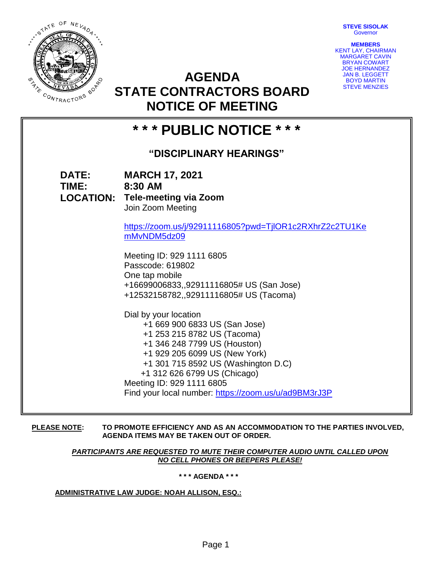**STEVE SISOLAK Governor** 



**MEMBERS** KENT LAY, CHAIRMAN MARGARET CAVIN BRYAN COWART JOE HERNANDEZ JAN B. LEGGETT BOYD MARTIN STEVE MENZIES

## **AGENDA STATE CONTRACTORS BOARD NOTICE OF MEETING**

# **\* \* \* PUBLIC NOTICE \* \* \* "DISCIPLINARY HEARINGS" DATE: MARCH 17, 2021 TIME: 8:30 AM LOCATION: Tele-meeting via Zoom** Join Zoom Meeting

[https://zoom.us/j/92911116805?pwd=TjlOR1c2RXhrZ2c2TU1Ke](https://zoom.us/j/92911116805?pwd=TjlOR1c2RXhrZ2c2TU1KemMvNDM5dz09) [mMvNDM5dz09](https://zoom.us/j/92911116805?pwd=TjlOR1c2RXhrZ2c2TU1KemMvNDM5dz09)

Meeting ID: 929 1111 6805 Passcode: 619802 One tap mobile +16699006833,,92911116805# US (San Jose) +12532158782,,92911116805# US (Tacoma)

Dial by your location +1 669 900 6833 US (San Jose) +1 253 215 8782 US (Tacoma) +1 346 248 7799 US (Houston) +1 929 205 6099 US (New York) +1 301 715 8592 US (Washington D.C) +1 312 626 6799 US (Chicago) Meeting ID: 929 1111 6805 Find your local number:<https://zoom.us/u/ad9BM3rJ3P>

**PLEASE NOTE: TO PROMOTE EFFICIENCY AND AS AN ACCOMMODATION TO THE PARTIES INVOLVED, AGENDA ITEMS MAY BE TAKEN OUT OF ORDER.**

> *PARTICIPANTS ARE REQUESTED TO MUTE THEIR COMPUTER AUDIO UNTIL CALLED UPON NO CELL PHONES OR BEEPERS PLEASE!*

> > **\* \* \* AGENDA \* \* \***

**ADMINISTRATIVE LAW JUDGE: NOAH ALLISON, ESQ.:**